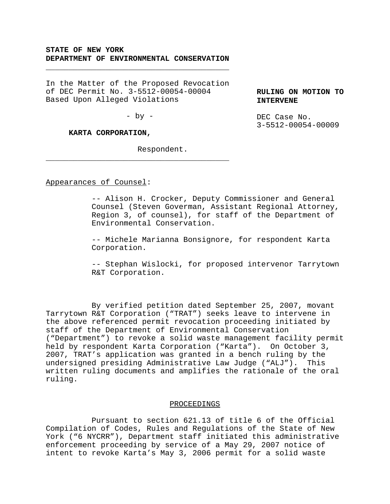# **STATE OF NEW YORK DEPARTMENT OF ENVIRONMENTAL CONSERVATION**

\_\_\_\_\_\_\_\_\_\_\_\_\_\_\_\_\_\_\_\_\_\_\_\_\_\_\_\_\_\_\_\_\_\_\_\_\_\_\_\_

In the Matter of the Proposed Revocation of DEC Permit No. 3-5512-00054-00004 Based Upon Alleged Violations

 $-$  by  $-$ 

\_\_\_\_\_\_\_\_\_\_\_\_\_\_\_\_\_\_\_\_\_\_\_\_\_\_\_\_\_\_\_\_\_\_\_\_\_\_\_\_

## **KARTA CORPORATION,**

Respondent.

**RULING ON MOTION TO INTERVENE**

DEC Case No. 3-5512-00054-00009

## Appearances of Counsel:

-- Alison H. Crocker, Deputy Commissioner and General Counsel (Steven Goverman, Assistant Regional Attorney, Region 3, of counsel), for staff of the Department of Environmental Conservation.

-- Michele Marianna Bonsignore, for respondent Karta Corporation.

-- Stephan Wislocki, for proposed intervenor Tarrytown R&T Corporation.

By verified petition dated September 25, 2007, movant Tarrytown R&T Corporation ("TRAT") seeks leave to intervene in the above referenced permit revocation proceeding initiated by staff of the Department of Environmental Conservation ("Department") to revoke a solid waste management facility permit held by respondent Karta Corporation ("Karta"). On October 3, 2007, TRAT's application was granted in a bench ruling by the undersigned presiding Administrative Law Judge ("ALJ"). This written ruling documents and amplifies the rationale of the oral ruling.

### PROCEEDINGS

Pursuant to section 621.13 of title 6 of the Official Compilation of Codes, Rules and Regulations of the State of New York ("6 NYCRR"), Department staff initiated this administrative enforcement proceeding by service of a May 29, 2007 notice of intent to revoke Karta's May 3, 2006 permit for a solid waste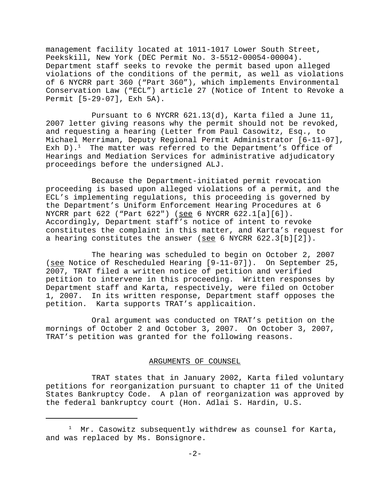management facility located at 1011-1017 Lower South Street, Peekskill, New York (DEC Permit No. 3-5512-00054-00004). Department staff seeks to revoke the permit based upon alleged violations of the conditions of the permit, as well as violations of 6 NYCRR part 360 ("Part 360"), which implements Environmental Conservation Law ("ECL") article 27 (Notice of Intent to Revoke a Permit [5-29-07], Exh 5A).

Pursuant to 6 NYCRR 621.13(d), Karta filed a June 11, 2007 letter giving reasons why the permit should not be revoked, and requesting a hearing (Letter from Paul Casowitz, Esq., to Michael Merriman, Deputy Regional Permit Administrator [6-11-07], Exh D).<sup>1</sup> The matter was referred to the Department's Office of Hearings and Mediation Services for administrative adjudicatory proceedings before the undersigned ALJ.

Because the Department-initiated permit revocation proceeding is based upon alleged violations of a permit, and the ECL's implementing regulations, this proceeding is governed by the Department's Uniform Enforcement Hearing Procedures at 6 NYCRR part 622 ("Part 622") (see 6 NYCRR 622.1[a][6]). Accordingly, Department staff's notice of intent to revoke constitutes the complaint in this matter, and Karta's request for a hearing constitutes the answer (see 6 NYCRR 622.3[b][2]).

The hearing was scheduled to begin on October 2, 2007 (see Notice of Rescheduled Hearing [9-11-07]). On September 25, 2007, TRAT filed a written notice of petition and verified petition to intervene in this proceeding. Written responses by Department staff and Karta, respectively, were filed on October 1, 2007. In its written response, Department staff opposes the petition. Karta supports TRAT's applicaition.

Oral argument was conducted on TRAT's petition on the mornings of October 2 and October 3, 2007. On October 3, 2007, TRAT's petition was granted for the following reasons.

## ARGUMENTS OF COUNSEL

TRAT states that in January 2002, Karta filed voluntary petitions for reorganization pursuant to chapter 11 of the United States Bankruptcy Code. A plan of reorganization was approved by the federal bankruptcy court (Hon. Adlai S. Hardin, U.S.

 $1$  Mr. Casowitz subsequently withdrew as counsel for Karta, and was replaced by Ms. Bonsignore.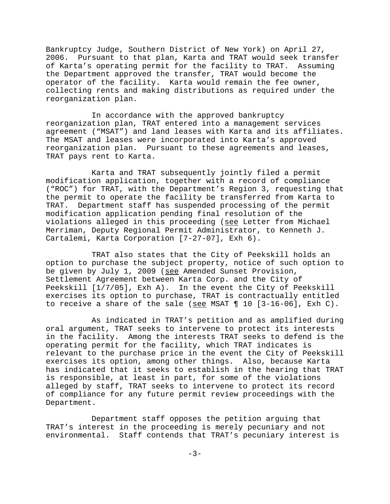Bankruptcy Judge, Southern District of New York) on April 27, 2006. Pursuant to that plan, Karta and TRAT would seek transfer of Karta's operating permit for the facility to TRAT. Assuming the Department approved the transfer, TRAT would become the operator of the facility. Karta would remain the fee owner, collecting rents and making distributions as required under the reorganization plan.

In accordance with the approved bankruptcy reorganization plan, TRAT entered into a management services agreement ("MSAT") and land leases with Karta and its affiliates. The MSAT and leases were incorporated into Karta's approved reorganization plan. Pursuant to these agreements and leases, TRAT pays rent to Karta.

Karta and TRAT subsequently jointly filed a permit modification application, together with a record of compliance ("ROC") for TRAT, with the Department's Region 3, requesting that the permit to operate the facility be transferred from Karta to TRAT. Department staff has suspended processing of the permit modification application pending final resolution of the violations alleged in this proceeding (see Letter from Michael Merriman, Deputy Regional Permit Administrator, to Kenneth J. Cartalemi, Karta Corporation [7-27-07], Exh 6).

TRAT also states that the City of Peekskill holds an option to purchase the subject property, notice of such option to be given by July 1, 2009 (see Amended Sunset Provision, Settlement Agreement between Karta Corp. and the City of Peekskill [1/7/05], Exh A). In the event the City of Peekskill exercises its option to purchase, TRAT is contractually entitled to receive a share of the sale (see MSAT  $\P$  10 [3-16-06], Exh C).

As indicated in TRAT's petition and as amplified during oral argument, TRAT seeks to intervene to protect its interests in the facility. Among the interests TRAT seeks to defend is the operating permit for the facility, which TRAT indicates is relevant to the purchase price in the event the City of Peekskill exercises its option, among other things. Also, because Karta has indicated that it seeks to establish in the hearing that TRAT is responsible, at least in part, for some of the violations alleged by staff, TRAT seeks to intervene to protect its record of compliance for any future permit review proceedings with the Department.

Department staff opposes the petition arguing that TRAT's interest in the proceeding is merely pecuniary and not environmental. Staff contends that TRAT's pecuniary interest is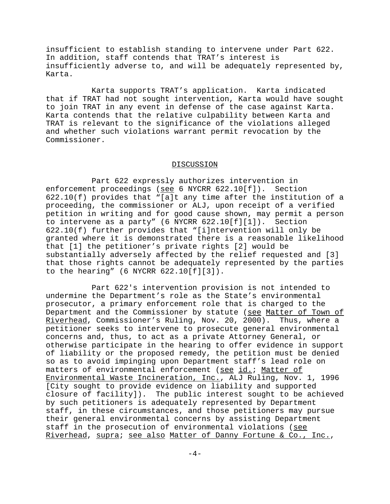insufficient to establish standing to intervene under Part 622. In addition, staff contends that TRAT's interest is insufficiently adverse to, and will be adequately represented by, Karta.

Karta supports TRAT's application. Karta indicated that if TRAT had not sought intervention, Karta would have sought to join TRAT in any event in defense of the case against Karta. Karta contends that the relative culpability between Karta and TRAT is relevant to the significance of the violations alleged and whether such violations warrant permit revocation by the Commissioner.

#### DISCUSSION

Part 622 expressly authorizes intervention in enforcement proceedings (see 6 NYCRR 622.10[f]). Section 622.10(f) provides that "[a]t any time after the institution of a proceeding, the commissioner or ALJ, upon receipt of a verified petition in writing and for good cause shown, may permit a person to intervene as a party" (6 NYCRR 622.10[f][1]). Section 622.10(f) further provides that "[i]ntervention will only be granted where it is demonstrated there is a reasonable likelihood that [1] the petitioner's private rights [2] would be substantially adversely affected by the relief requested and [3] that those rights cannot be adequately represented by the parties to the hearing" (6 NYCRR 622.10[f][3]).

Part 622's intervention provision is not intended to undermine the Department's role as the State's environmental prosecutor, a primary enforcement role that is charged to the Department and the Commissioner by statute (see Matter of Town of Riverhead, Commissioner's Ruling, Nov. 20, 2000). Thus, where a petitioner seeks to intervene to prosecute general environmental concerns and, thus, to act as a private Attorney General, or otherwise participate in the hearing to offer evidence in support of liability or the proposed remedy, the petition must be denied so as to avoid impinging upon Department staff's lead role on matters of environmental enforcement (see id.; Matter of Environmental Waste Incineration, Inc., ALJ Ruling, Nov. 1, 1996 [City sought to provide evidence on liability and supported closure of facility]). The public interest sought to be achieved by such petitioners is adequately represented by Department staff, in these circumstances, and those petitioners may pursue their general environmental concerns by assisting Department staff in the prosecution of environmental violations (see Riverhead, supra; see also Matter of Danny Fortune & Co., Inc.,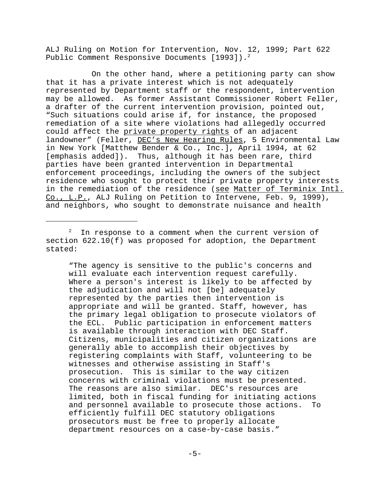ALJ Ruling on Motion for Intervention, Nov. 12, 1999; Part 622 Public Comment Responsive Documents [1993]).<sup>2</sup>

On the other hand, where a petitioning party can show that it has a private interest which is not adequately represented by Department staff or the respondent, intervention may be allowed. As former Assistant Commissioner Robert Feller, a drafter of the current intervention provision, pointed out, "Such situations could arise if, for instance, the proposed remediation of a site where violations had allegedly occurred could affect the private property rights of an adjacent landowner" (Feller, DEC's New Hearing Rules, 5 Environmental Law in New York [Matthew Bender & Co., Inc.], April 1994, at 62 [emphasis added]). Thus, although it has been rare, third parties have been granted intervention in Departmental enforcement proceedings, including the owners of the subject residence who sought to protect their private property interests in the remediation of the residence (see Matter of Terminix Intl. Co., L.P., ALJ Ruling on Petition to Intervene, Feb. 9, 1999), and neighbors, who sought to demonstrate nuisance and health

 $2^2$  In response to a comment when the current version of section 622.10(f) was proposed for adoption, the Department stated:

"The agency is sensitive to the public's concerns and will evaluate each intervention request carefully. Where a person's interest is likely to be affected by the adjudication and will not [be] adequately represented by the parties then intervention is appropriate and will be granted. Staff, however, has the primary legal obligation to prosecute violators of the ECL. Public participation in enforcement matters is available through interaction with DEC Staff. Citizens, municipalities and citizen organizations are generally able to accomplish their objectives by registering complaints with Staff, volunteering to be witnesses and otherwise assisting in Staff's prosecution. This is similar to the way citizen concerns with criminal violations must be presented. The reasons are also similar. DEC's resources are limited, both in fiscal funding for initiating actions and personnel available to prosecute those actions. To efficiently fulfill DEC statutory obligations prosecutors must be free to properly allocate department resources on a case-by-case basis."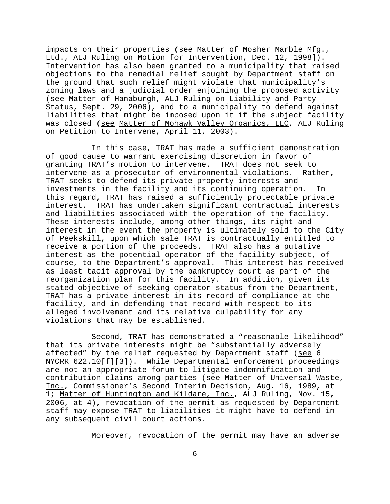impacts on their properties (see Matter of Mosher Marble Mfg., Ltd., ALJ Ruling on Motion for Intervention, Dec. 12, 1998]). Intervention has also been granted to a municipality that raised objections to the remedial relief sought by Department staff on the ground that such relief might violate that municipality's zoning laws and a judicial order enjoining the proposed activity (see Matter of Hanaburgh, ALJ Ruling on Liability and Party Status, Sept. 29, 2006), and to a municipality to defend against liabilities that might be imposed upon it if the subject facility was closed (see Matter of Mohawk Valley Organics, LLC, ALJ Ruling on Petition to Intervene, April 11, 2003).

In this case, TRAT has made a sufficient demonstration of good cause to warrant exercising discretion in favor of granting TRAT's motion to intervene. TRAT does not seek to intervene as a prosecutor of environmental violations. Rather, TRAT seeks to defend its private property interests and investments in the facility and its continuing operation. In this regard, TRAT has raised a sufficiently protectable private interest. TRAT has undertaken significant contractual interests and liabilities associated with the operation of the facility. These interests include, among other things, its right and interest in the event the property is ultimately sold to the City of Peekskill, upon which sale TRAT is contractually entitled to receive a portion of the proceeds. TRAT also has a putative interest as the potential operator of the facility subject, of course, to the Department's approval. This interest has received as least tacit approval by the bankruptcy court as part of the reorganization plan for this facility. In addition, given its stated objective of seeking operator status from the Department, TRAT has a private interest in its record of compliance at the facility, and in defending that record with respect to its alleged involvement and its relative culpability for any violations that may be established.

Second, TRAT has demonstrated a "reasonable likelihood" that its private interests might be "substantially adversely affected" by the relief requested by Department staff (see 6 NYCRR 622.10[f][3]). While Departmental enforcement proceedings are not an appropriate forum to litigate indemnification and contribution claims among parties (see Matter of Universal Waste, Inc.*,* Commissioner's Second Interim Decision, Aug. 16, 1989, at 1; Matter of Huntington and Kildare, Inc., ALJ Ruling, Nov. 15, 2006, at 4), revocation of the permit as requested by Department staff may expose TRAT to liabilities it might have to defend in any subsequent civil court actions.

Moreover, revocation of the permit may have an adverse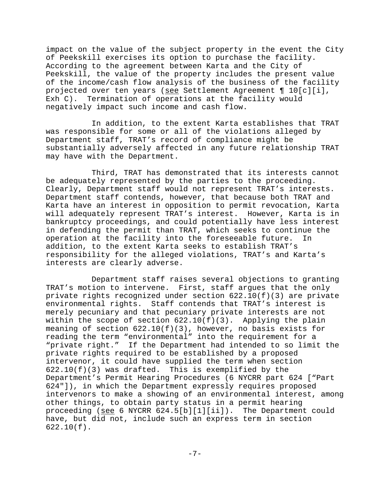impact on the value of the subject property in the event the City of Peekskill exercises its option to purchase the facility. According to the agreement between Karta and the City of Peekskill, the value of the property includes the present value of the income/cash flow analysis of the business of the facility projected over ten years (see Settlement Agreement ¶ 10[c][i], Exh C). Termination of operations at the facility would negatively impact such income and cash flow.

In addition, to the extent Karta establishes that TRAT was responsible for some or all of the violations alleged by Department staff, TRAT's record of compliance might be substantially adversely affected in any future relationship TRAT may have with the Department.

Third, TRAT has demonstrated that its interests cannot be adequately represented by the parties to the proceeding. Clearly, Department staff would not represent TRAT's interests. Department staff contends, however, that because both TRAT and Karta have an interest in opposition to permit revocation, Karta will adequately represent TRAT's interest. However, Karta is in bankruptcy proceedings, and could potentially have less interest in defending the permit than TRAT, which seeks to continue the operation at the facility into the foreseeable future. In addition, to the extent Karta seeks to establish TRAT's responsibility for the alleged violations, TRAT's and Karta's interests are clearly adverse.

Department staff raises several objections to granting TRAT's motion to intervene. First, staff argues that the only private rights recognized under section 622.10(f)(3) are private environmental rights. Staff contends that TRAT's interest is merely pecuniary and that pecuniary private interests are not within the scope of section  $622.10(f)(3)$ . Applying the plain meaning of section 622.10(f)(3), however, no basis exists for reading the term "environmental" into the requirement for a "private right." If the Department had intended to so limit the private rights required to be established by a proposed intervenor, it could have supplied the term when section  $622.10(f)(3)$  was drafted. This is exemplified by the Department's Permit Hearing Procedures (6 NYCRR part 624 ["Part 624"]), in which the Department expressly requires proposed intervenors to make a showing of an environmental interest, among other things, to obtain party status in a permit hearing proceeding (see 6 NYCRR 624.5[b][1][ii]). The Department could have, but did not, include such an express term in section 622.10(f).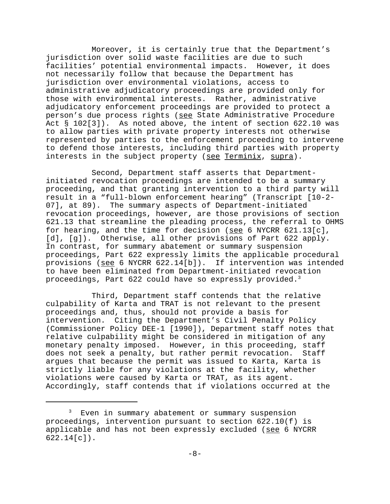Moreover, it is certainly true that the Department's jurisdiction over solid waste facilities are due to such facilities' potential environmental impacts. However, it does not necessarily follow that because the Department has jurisdiction over environmental violations, access to administrative adjudicatory proceedings are provided only for those with environmental interests. Rather, administrative adjudicatory enforcement proceedings are provided to protect a person's due process rights (see State Administrative Procedure Act § 102[3]). As noted above, the intent of section 622.10 was to allow parties with private property interests not otherwise represented by parties to the enforcement proceeding to intervene to defend those interests, including third parties with property interests in the subject property (see Terminix, supra).

Second, Department staff asserts that Departmentinitiated revocation proceedings are intended to be a summary proceeding, and that granting intervention to a third party will result in a "full-blown enforcement hearing" (Transcript [10-2- 07], at 89). The summary aspects of Department-initiated revocation proceedings, however, are those provisions of section 621.13 that streamline the pleading process, the referral to OHMS for hearing, and the time for decision (see 6 NYCRR  $621.13[c]$ , [d], [g]). Otherwise, all other provisions of Part 622 apply. In contrast, for summary abatement or summary suspension proceedings, Part 622 expressly limits the applicable procedural provisions (see 6 NYCRR 622.14[b]). If intervention was intended to have been eliminated from Department-initiated revocation proceedings, Part 622 could have so expressly provided.<sup>3</sup>

Third, Department staff contends that the relative culpability of Karta and TRAT is not relevant to the present proceedings and, thus, should not provide a basis for intervention. Citing the Department's Civil Penalty Policy (Commissioner Policy DEE-1 [1990]), Department staff notes that relative culpability might be considered in mitigation of any monetary penalty imposed. However, in this proceeding, staff does not seek a penalty, but rather permit revocation. Staff argues that because the permit was issued to Karta, Karta is strictly liable for any violations at the facility, whether violations were caused by Karta or TRAT, as its agent. Accordingly, staff contends that if violations occurred at the

<sup>&</sup>lt;sup>3</sup> Even in summary abatement or summary suspension proceedings, intervention pursuant to section 622.10(f) is applicable and has not been expressly excluded (see 6 NYCRR 622.14[c]).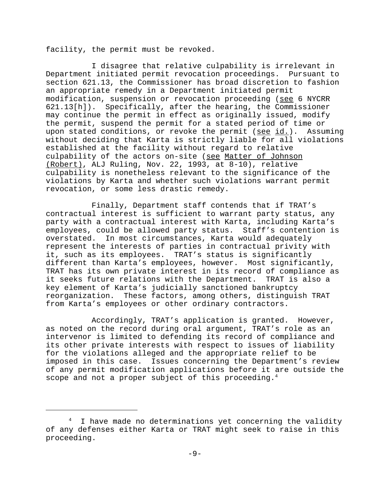facility, the permit must be revoked.

I disagree that relative culpability is irrelevant in Department initiated permit revocation proceedings. Pursuant to section 621.13, the Commissioner has broad discretion to fashion an appropriate remedy in a Department initiated permit modification, suspension or revocation proceeding (see 6 NYCRR 621.13[h]). Specifically, after the hearing, the Commissioner may continue the permit in effect as originally issued, modify the permit, suspend the permit for a stated period of time or upon stated conditions, or revoke the permit ( $\frac{\text{see id.}}{\text{and.}}$ ). Assuming without deciding that Karta is strictly liable for all violations established at the facility without regard to relative culpability of the actors on-site (see Matter of Johnson (Robert), ALJ Ruling, Nov. 22, 1993, at 8-10), relative culpability is nonetheless relevant to the significance of the violations by Karta and whether such violations warrant permit revocation, or some less drastic remedy.

Finally, Department staff contends that if TRAT's contractual interest is sufficient to warrant party status, any party with a contractual interest with Karta, including Karta's employees, could be allowed party status. Staff's contention is overstated. In most circumstances, Karta would adequately represent the interests of parties in contractual privity with it, such as its employees. TRAT's status is significantly different than Karta's employees, however. Most significantly, TRAT has its own private interest in its record of compliance as it seeks future relations with the Department. TRAT is also a key element of Karta's judicially sanctioned bankruptcy reorganization. These factors, among others, distinguish TRAT from Karta's employees or other ordinary contractors.

Accordingly, TRAT's application is granted. However, as noted on the record during oral argument, TRAT's role as an intervenor is limited to defending its record of compliance and its other private interests with respect to issues of liability for the violations alleged and the appropriate relief to be imposed in this case. Issues concerning the Department's review of any permit modification applications before it are outside the scope and not a proper subject of this proceeding.<sup>4</sup>

<sup>&</sup>lt;sup>4</sup> I have made no determinations yet concerning the validity of any defenses either Karta or TRAT might seek to raise in this proceeding.